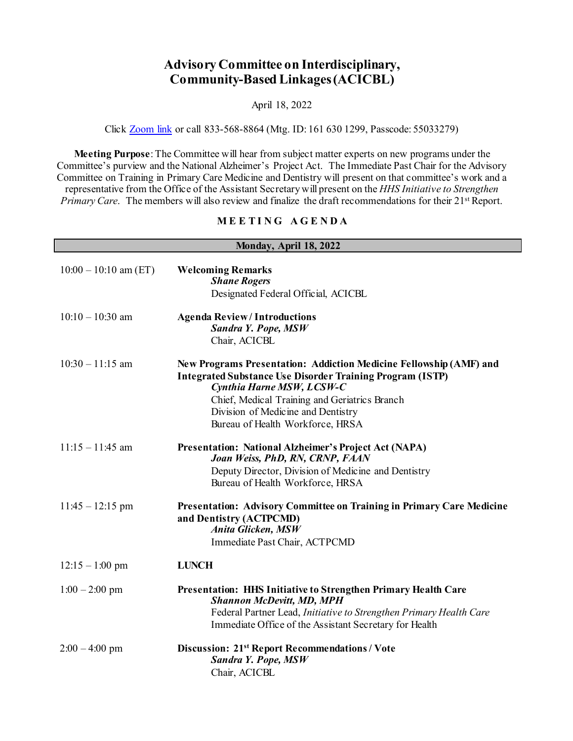## **Advisory Committee on Interdisciplinary, Community-Based Linkages (ACICBL)**

April 18, 2022

Click [Zoom link](https://hrsa-gov.zoomgov.com/j/1616301299?pwd=dDVvcVZrSlNBTjFmdEFEZ0YxUlJTQT09) or call 833-568-8864 (Mtg. ID: 161 630 1299, Passcode: 55033279)

**Meeting Purpose**: The Committee will hear from subject matter experts on new programs under the Committee's purview and the National Alzheimer's Project Act. The Immediate Past Chair for the Advisory Committee on Training in Primary Care Medicine and Dentistry will present on that committee's work and a representative from the Office of the Assistant Secretary will present on the *HHS Initiative to Strengthen Primary Care*. The members will also review and finalize the draft recommendations for their 21<sup>st</sup> Report.

## **M E E T I N G A G E N D A**

| Monday, April 18, 2022  |                                                                                                                                                                                                                                                                                                |
|-------------------------|------------------------------------------------------------------------------------------------------------------------------------------------------------------------------------------------------------------------------------------------------------------------------------------------|
| $10:00 - 10:10$ am (ET) | <b>Welcoming Remarks</b><br><b>Shane Rogers</b><br>Designated Federal Official, ACICBL                                                                                                                                                                                                         |
| $10:10 - 10:30$ am      | <b>Agenda Review/Introductions</b><br>Sandra Y. Pope, MSW<br>Chair, ACICBL                                                                                                                                                                                                                     |
| $10:30 - 11:15$ am      | New Programs Presentation: Addiction Medicine Fellowship (AMF) and<br><b>Integrated Substance Use Disorder Training Program (ISTP)</b><br>Cynthia Harne MSW, LCSW-C<br>Chief, Medical Training and Geriatrics Branch<br>Division of Medicine and Dentistry<br>Bureau of Health Workforce, HRSA |
| $11:15 - 11:45$ am      | <b>Presentation: National Alzheimer's Project Act (NAPA)</b><br>Joan Weiss, PhD, RN, CRNP, FAAN<br>Deputy Director, Division of Medicine and Dentistry<br>Bureau of Health Workforce, HRSA                                                                                                     |
| $11:45 - 12:15$ pm      | <b>Presentation: Advisory Committee on Training in Primary Care Medicine</b><br>and Dentistry (ACTPCMD)<br>Anita Glicken, MSW<br>Immediate Past Chair, ACTPCMD                                                                                                                                 |
| $12:15 - 1:00$ pm       | <b>LUNCH</b>                                                                                                                                                                                                                                                                                   |
| $1:00 - 2:00$ pm        | Presentation: HHS Initiative to Strengthen Primary Health Care<br><b>Shannon McDevitt, MD, MPH</b><br>Federal Partner Lead, Initiative to Strengthen Primary Health Care<br>Immediate Office of the Assistant Secretary for Health                                                             |
| $2:00 - 4:00$ pm        | Discussion: 21 <sup>st</sup> Report Recommendations / Vote<br>Sandra Y. Pope, MSW<br>Chair, ACICBL                                                                                                                                                                                             |